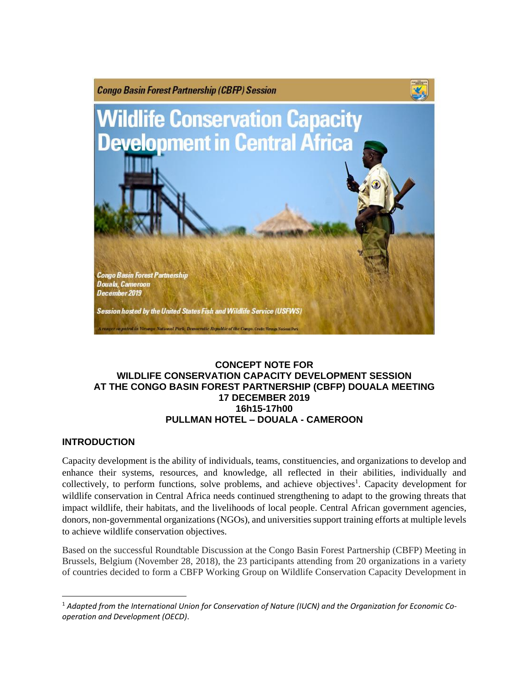

### **CONCEPT NOTE FOR WILDLIFE CONSERVATION CAPACITY DEVELOPMENT SESSION AT THE CONGO BASIN FOREST PARTNERSHIP (CBFP) DOUALA MEETING 17 DECEMBER 2019 16h15-17h00 PULLMAN HOTEL – DOUALA - CAMEROON**

## **INTRODUCTION**

Capacity development is the ability of individuals, teams, constituencies, and organizations to develop and enhance their systems, resources, and knowledge, all reflected in their abilities, individually and collectively, to perform functions, solve problems, and achieve objectives<sup>1</sup>. Capacity development for wildlife conservation in Central Africa needs continued strengthening to adapt to the growing threats that impact wildlife, their habitats, and the livelihoods of local people. Central African government agencies, donors, non-governmental organizations (NGOs), and universities support training efforts at multiple levels to achieve wildlife conservation objectives.

Based on the successful Roundtable Discussion at the Congo Basin Forest Partnership (CBFP) Meeting in Brussels, Belgium (November 28, 2018), the 23 participants attending from 20 organizations in a variety of countries decided to form a CBFP Working Group on Wildlife Conservation Capacity Development in

 $\overline{\phantom{a}}$ <sup>1</sup> Adapted from the International Union for Conservation of Nature (IUCN) and the Organization for Economic Co*operation and Development (OECD)*.